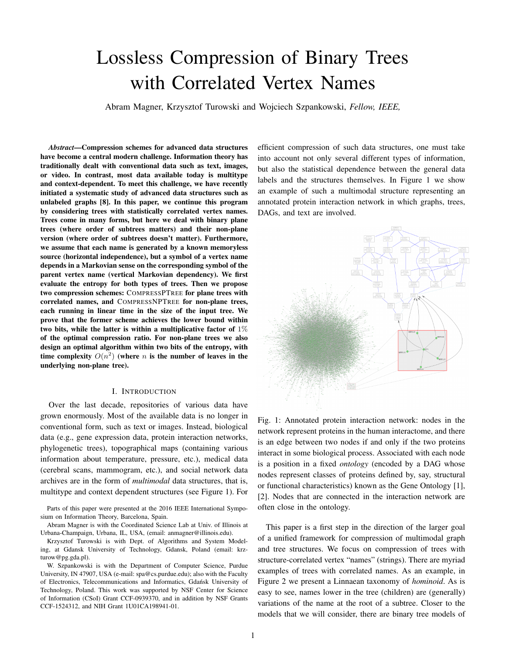# Lossless Compression of Binary Trees with Correlated Vertex Names

Abram Magner, Krzysztof Turowski and Wojciech Szpankowski, *Fellow, IEEE,*

*Abstract*—Compression schemes for advanced data structures have become a central modern challenge. Information theory has traditionally dealt with conventional data such as text, images, or video. In contrast, most data available today is multitype and context-dependent. To meet this challenge, we have recently initiated a systematic study of advanced data structures such as unlabeled graphs [8]. In this paper, we continue this program by considering trees with statistically correlated vertex names. Trees come in many forms, but here we deal with binary plane trees (where order of subtrees matters) and their non-plane version (where order of subtrees doesn't matter). Furthermore, we assume that each name is generated by a known memoryless source (horizontal independence), but a symbol of a vertex name depends in a Markovian sense on the corresponding symbol of the parent vertex name (vertical Markovian dependency). We first evaluate the entropy for both types of trees. Then we propose two compression schemes: COMPRESSPTREE for plane trees with correlated names, and COMPRESSNPTREE for non-plane trees, each running in linear time in the size of the input tree. We prove that the former scheme achieves the lower bound within two bits, while the latter is within a multiplicative factor of  $1\%$ of the optimal compression ratio. For non-plane trees we also design an optimal algorithm within two bits of the entropy, with time complexity  $O(n^2)$  (where *n* is the number of leaves in the underlying non-plane tree).

#### I. INTRODUCTION

Over the last decade, repositories of various data have grown enormously. Most of the available data is no longer in conventional form, such as text or images. Instead, biological data (e.g., gene expression data, protein interaction networks, phylogenetic trees), topographical maps (containing various information about temperature, pressure, etc.), medical data (cerebral scans, mammogram, etc.), and social network data archives are in the form of *multimodal* data structures, that is, multitype and context dependent structures (see Figure 1). For

Parts of this paper were presented at the 2016 IEEE International Symposium on Information Theory, Barcelona, Spain.

Abram Magner is with the Coordinated Science Lab at Univ. of Illinois at Urbana-Champaign, Urbana, IL, USA, (email: anmagner@illinois.edu).

Krzysztof Turowski is with Dept. of Algorithms and System Modeling, at Gdansk University of Technology, Gdansk, Poland (email: krzturow@pg.gda.pl).

W. Szpankowski is with the Department of Computer Science, Purdue University, IN 47907, USA (e-mail: spa@cs.purdue.edu); also with the Faculty of Electronics, Telecommunications and Informatics, Gdansk University of ´ Technology, Poland. This work was supported by NSF Center for Science of Information (CSoI) Grant CCF-0939370, and in addition by NSF Grants CCF-1524312, and NIH Grant 1U01CA198941-01.

efficient compression of such data structures, one must take into account not only several different types of information, but also the statistical dependence between the general data labels and the structures themselves. In Figure 1 we show an example of such a multimodal structure representing an annotated protein interaction network in which graphs, trees, DAGs, and text are involved.



Fig. 1: Annotated protein interaction network: nodes in the network represent proteins in the human interactome, and there is an edge between two nodes if and only if the two proteins interact in some biological process. Associated with each node is a position in a fixed *ontology* (encoded by a DAG whose nodes represent classes of proteins defined by, say, structural or functional characteristics) known as the Gene Ontology [1], [2]. Nodes that are connected in the interaction network are often close in the ontology.

This paper is a first step in the direction of the larger goal of a unified framework for compression of multimodal graph and tree structures. We focus on compression of trees with structure-correlated vertex "names" (strings). There are myriad examples of trees with correlated names. As an example, in Figure 2 we present a Linnaean taxonomy of *hominoid*. As is easy to see, names lower in the tree (children) are (generally) variations of the name at the root of a subtree. Closer to the models that we will consider, there are binary tree models of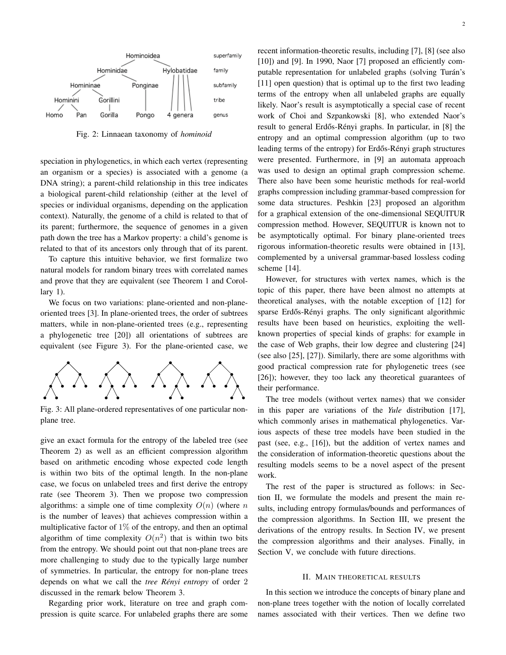

Fig. 2: Linnaean taxonomy of *hominoid*

speciation in phylogenetics, in which each vertex (representing an organism or a species) is associated with a genome (a DNA string); a parent-child relationship in this tree indicates a biological parent-child relationship (either at the level of species or individual organisms, depending on the application context). Naturally, the genome of a child is related to that of its parent; furthermore, the sequence of genomes in a given path down the tree has a Markov property: a child's genome is related to that of its ancestors only through that of its parent.

To capture this intuitive behavior, we first formalize two natural models for random binary trees with correlated names and prove that they are equivalent (see Theorem 1 and Corollary 1).

We focus on two variations: plane-oriented and non-planeoriented trees [3]. In plane-oriented trees, the order of subtrees matters, while in non-plane-oriented trees (e.g., representing a phylogenetic tree [20]) all orientations of subtrees are equivalent (see Figure 3). For the plane-oriented case, we



Fig. 3: All plane-ordered representatives of one particular nonplane tree.

give an exact formula for the entropy of the labeled tree (see Theorem 2) as well as an efficient compression algorithm based on arithmetic encoding whose expected code length is within two bits of the optimal length. In the non-plane case, we focus on unlabeled trees and first derive the entropy rate (see Theorem 3). Then we propose two compression algorithms: a simple one of time complexity  $O(n)$  (where *n* is the number of leaves) that achieves compression within a multiplicative factor of  $1\%$  of the entropy, and then an optimal algorithm of time complexity  $O(n^2)$  that is within two bits from the entropy. We should point out that non-plane trees are more challenging to study due to the typically large number of symmetries. In particular, the entropy for non-plane trees depends on what we call the *tree Rényi entropy* of order 2 discussed in the remark below Theorem 3.

Regarding prior work, literature on tree and graph compression is quite scarce. For unlabeled graphs there are some recent information-theoretic results, including [7], [8] (see also [10]) and [9]. In 1990, Naor [7] proposed an efficiently computable representation for unlabeled graphs (solving Turán's [11] open question) that is optimal up to the first two leading terms of the entropy when all unlabeled graphs are equally likely. Naor's result is asymptotically a special case of recent work of Choi and Szpankowski [8], who extended Naor's result to general Erdős-Rényi graphs. In particular, in [8] the entropy and an optimal compression algorithm (up to two leading terms of the entropy) for Erdős-Rényi graph structures were presented. Furthermore, in [9] an automata approach was used to design an optimal graph compression scheme. There also have been some heuristic methods for real-world graphs compression including grammar-based compression for some data structures. Peshkin [23] proposed an algorithm for a graphical extension of the one-dimensional SEQUITUR compression method. However, SEQUITUR is known not to be asymptotically optimal. For binary plane-oriented trees rigorous information-theoretic results were obtained in [13], complemented by a universal grammar-based lossless coding scheme [14].

However, for structures with vertex names, which is the topic of this paper, there have been almost no attempts at theoretical analyses, with the notable exception of [12] for sparse Erdős-Rényi graphs. The only significant algorithmic results have been based on heuristics, exploiting the wellknown properties of special kinds of graphs: for example in the case of Web graphs, their low degree and clustering [24] (see also [25], [27]). Similarly, there are some algorithms with good practical compression rate for phylogenetic trees (see [26]); however, they too lack any theoretical guarantees of their performance.

The tree models (without vertex names) that we consider in this paper are variations of the *Yule* distribution [17], which commonly arises in mathematical phylogenetics. Various aspects of these tree models have been studied in the past (see, e.g., [16]), but the addition of vertex names and the consideration of information-theoretic questions about the resulting models seems to be a novel aspect of the present work.

The rest of the paper is structured as follows: in Section II, we formulate the models and present the main results, including entropy formulas/bounds and performances of the compression algorithms. In Section III, we present the derivations of the entropy results. In Section IV, we present the compression algorithms and their analyses. Finally, in Section V, we conclude with future directions.

#### II. MAIN THEORETICAL RESULTS

In this section we introduce the concepts of binary plane and non-plane trees together with the notion of locally correlated names associated with their vertices. Then we define two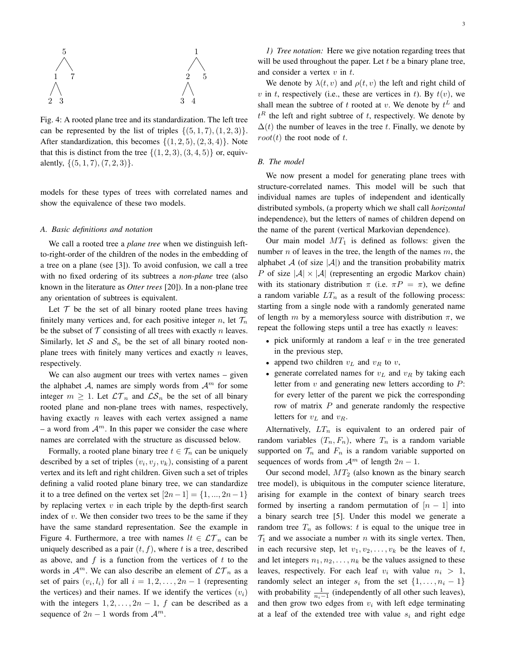

Fig. 4: A rooted plane tree and its standardization. The left tree can be represented by the list of triples  $\{(5, 1, 7), (1, 2, 3)\}.$ After standardization, this becomes  $\{(1, 2, 5), (2, 3, 4)\}\$ . Note that this is distinct from the tree  $\{(1, 2, 3), (3, 4, 5)\}\$  or, equivalently, *{*(5*,* 1*,* 7)*,*(7*,* 2*,* 3)*}*.

models for these types of trees with correlated names and show the equivalence of these two models.

#### *A. Basic definitions and notation*

We call a rooted tree a *plane tree* when we distinguish leftto-right-order of the children of the nodes in the embedding of a tree on a plane (see [3]). To avoid confusion, we call a tree with no fixed ordering of its subtrees a *non-plane* tree (also known in the literature as *Otter trees* [20]). In a non-plane tree any orientation of subtrees is equivalent.

Let  $T$  be the set of all binary rooted plane trees having finitely many vertices and, for each positive integer *n*, let  $\mathcal{T}_n$ be the subset of  $T$  consisting of all trees with exactly  $n$  leaves. Similarly, let *S* and  $S_n$  be the set of all binary rooted nonplane trees with finitely many vertices and exactly *n* leaves, respectively.

We can also augment our trees with vertex names – given the alphabet *A*, names are simply words from  $A<sup>m</sup>$  for some integer  $m \geq 1$ . Let  $\mathcal{LT}_n$  and  $\mathcal{LS}_n$  be the set of all binary rooted plane and non-plane trees with names, respectively, having exactly *n* leaves with each vertex assigned a name – a word from  $A^m$ . In this paper we consider the case where names are correlated with the structure as discussed below.

Formally, a rooted plane binary tree  $t \in \mathcal{T}_n$  can be uniquely described by a set of triples  $(v_i, v_j, v_k)$ , consisting of a parent vertex and its left and right children. Given such a set of triples defining a valid rooted plane binary tree, we can standardize it to a tree defined on the vertex set  $[2n-1] = \{1, ..., 2n-1\}$ by replacing vertex *v* in each triple by the depth-first search index of *v*. We then consider two trees to be the same if they have the same standard representation. See the example in Figure 4. Furthermore, a tree with names  $lt \in \mathcal{LT}_n$  can be uniquely described as a pair  $(t, f)$ , where  $t$  is a tree, described as above, and *f* is a function from the vertices of *t* to the words in  $\mathcal{A}^m$ . We can also describe an element of  $\mathcal{LT}_n$  as a set of pairs  $(v_i, l_i)$  for all  $i = 1, 2, \ldots, 2n - 1$  (representing the vertices) and their names. If we identify the vertices  $(v_i)$ with the integers  $1, 2, \ldots, 2n - 1$ , *f* can be described as a sequence of  $2n - 1$  words from  $\mathcal{A}^m$ .

*1) Tree notation:* Here we give notation regarding trees that will be used throughout the paper. Let *t* be a binary plane tree, and consider a vertex *v* in *t*.

We denote by  $\lambda(t, v)$  and  $\rho(t, v)$  the left and right child of *v* in *t*, respectively (i.e., these are vertices in *t*). By  $t(v)$ , we shall mean the subtree of *t* rooted at *v*. We denote by  $t^L$  and  $t^R$  the left and right subtree of  $t$ , respectively. We denote by  $\Delta(t)$  the number of leaves in the tree *t*. Finally, we denote by  $root(t)$  the root node of *t*.

# *B. The model*

We now present a model for generating plane trees with structure-correlated names. This model will be such that individual names are tuples of independent and identically distributed symbols, (a property which we shall call *horizontal* independence), but the letters of names of children depend on the name of the parent (vertical Markovian dependence).

Our main model  $MT_1$  is defined as follows: given the number *n* of leaves in the tree, the length of the names *m*, the alphabet  $A$  (of size  $|A|$ ) and the transition probability matrix *P* of size  $|A| \times |A|$  (representing an ergodic Markov chain) with its stationary distribution  $\pi$  (i.e.  $\pi P = \pi$ ), we define a random variable  $LT_n$  as a result of the following process: starting from a single node with a randomly generated name of length *m* by a memoryless source with distribution  $\pi$ , we repeat the following steps until a tree has exactly *n* leaves:

- *•* pick uniformly at random a leaf *v* in the tree generated in the previous step,
- *•* append two children *v<sup>L</sup>* and *v<sup>R</sup>* to *v*,
- *•* generate correlated names for *v<sup>L</sup>* and *v<sup>R</sup>* by taking each letter from *v* and generating new letters according to *P*: for every letter of the parent we pick the corresponding row of matrix *P* and generate randomly the respective letters for *v<sup>L</sup>* and *vR*.

Alternatively,  $LT_n$  is equivalent to an ordered pair of random variables  $(T_n, F_n)$ , where  $T_n$  is a random variable supported on  $\mathcal{T}_n$  and  $F_n$  is a random variable supported on sequences of words from  $\mathcal{A}^m$  of length  $2n - 1$ .

Our second model, *MT*<sup>2</sup> (also known as the binary search tree model), is ubiquitous in the computer science literature, arising for example in the context of binary search trees formed by inserting a random permutation of  $[n-1]$  into a binary search tree [5]. Under this model we generate a random tree  $T_n$  as follows:  $t$  is equal to the unique tree in  $\mathcal{T}_1$  and we associate a number *n* with its single vertex. Then, in each recursive step, let  $v_1, v_2, \ldots, v_k$  be the leaves of t, and let integers  $n_1, n_2, \ldots, n_k$  be the values assigned to these leaves, respectively. For each leaf  $v_i$  with value  $n_i > 1$ , randomly select an integer  $s_i$  from the set  $\{1, \ldots, n_i - 1\}$ with probability  $\frac{1}{n_i-1}$  (independently of all other such leaves), and then grow two edges from  $v_i$  with left edge terminating at a leaf of the extended tree with value  $s_i$  and right edge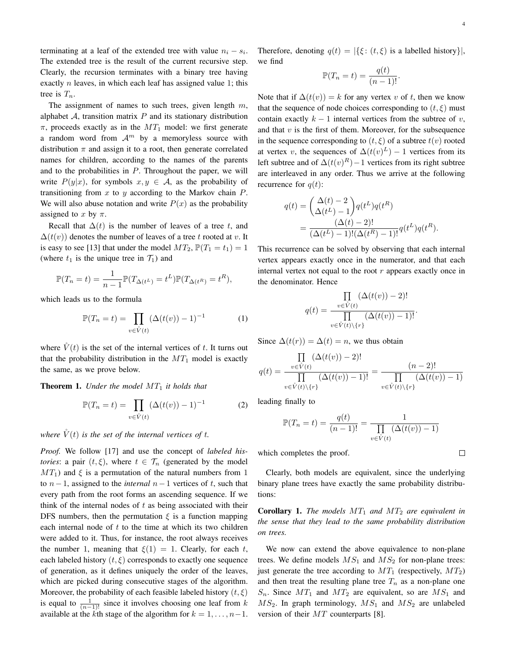terminating at a leaf of the extended tree with value  $n_i - s_i$ . The extended tree is the result of the current recursive step. Clearly, the recursion terminates with a binary tree having exactly *n* leaves, in which each leaf has assigned value 1; this tree is *Tn*.

The assignment of names to such trees, given length *m*, alphabet  $A$ , transition matrix  $P$  and its stationary distribution *π*, proceeds exactly as in the *MT*<sup>1</sup> model: we first generate a random word from  $A^m$  by a memoryless source with distribution  $\pi$  and assign it to a root, then generate correlated names for children, according to the names of the parents and to the probabilities in *P*. Throughout the paper, we will write  $P(y|x)$ , for symbols  $x, y \in A$ , as the probability of transitioning from *x* to *y* according to the Markov chain *P*. We will also abuse notation and write  $P(x)$  as the probability assigned to  $x$  by  $\pi$ .

Recall that  $\Delta(t)$  is the number of leaves of a tree *t*, and  $\Delta(t(v))$  denotes the number of leaves of a tree t rooted at v. It is easy to see [13] that under the model  $MT_2$ ,  $\mathbb{P}(T_1 = t_1) = 1$ (where  $t_1$  is the unique tree in  $\mathcal{T}_1$ ) and

$$
\mathbb{P}(T_n = t) = \frac{1}{n-1} \mathbb{P}(T_{\Delta(t^L)} = t^L) \mathbb{P}(T_{\Delta(t^R)} = t^R),
$$

which leads us to the formula

$$
\mathbb{P}(T_n = t) = \prod_{v \in \hat{V}(t)} (\Delta(t(v)) - 1)^{-1}
$$
 (1)

where  $\dot{V}(t)$  is the set of the internal vertices of t. It turns out that the probability distribution in the  $MT_1$  model is exactly the same, as we prove below.

Theorem 1. *Under the model MT*<sup>1</sup> *it holds that*

$$
\mathbb{P}(T_n = t) = \prod_{v \in \hat{V}(t)} (\Delta(t(v)) - 1)^{-1}
$$
 (2)

*where*  $\check{V}(t)$  *is the set of the internal vertices of t.* 

*Proof.* We follow [17] and use the concept of *labeled histories*: a pair  $(t, \xi)$ , where  $t \in \mathcal{T}_n$  (generated by the model  $MT_1$ ) and  $\xi$  is a permutation of the natural numbers from 1 to *n−*1, assigned to the *internal n−*1 vertices of *t*, such that every path from the root forms an ascending sequence. If we think of the internal nodes of *t* as being associated with their DFS numbers, then the permutation  $\xi$  is a function mapping each internal node of *t* to the time at which its two children were added to it. Thus, for instance, the root always receives the number 1, meaning that  $\xi(1) = 1$ . Clearly, for each *t*, each labeled history  $(t, \xi)$  corresponds to exactly one sequence of generation, as it defines uniquely the order of the leaves, which are picked during consecutive stages of the algorithm. Moreover, the probability of each feasible labeled history (*t, ξ*) is equal to  $\frac{1}{(n-1)!}$  since it involves choosing one leaf from *k* available at the *k*th stage of the algorithm for  $k = 1, \ldots, n-1$ . Therefore, denoting  $q(t) = |\{\xi: (t, \xi) \text{ is a labelled history}\}|,$ we find

$$
\mathbb{P}(T_n = t) = \frac{q(t)}{(n-1)!}.
$$

Note that if  $\Delta(t(v)) = k$  for any vertex *v* of *t*, then we know that the sequence of node choices corresponding to  $(t, \xi)$  must contain exactly  $k - 1$  internal vertices from the subtree of *v*, and that *v* is the first of them. Moreover, for the subsequence in the sequence corresponding to  $(t, \xi)$  of a subtree  $t(v)$  rooted at vertex *v*, the sequences of  $\Delta(t(v)^L) - 1$  vertices from its left subtree and of  $\Delta(t(v)^R) - 1$  vertices from its right subtree are interleaved in any order. Thus we arrive at the following recurrence for  $q(t)$ :

$$
q(t) = \left(\frac{\Delta(t) - 2}{\Delta(t^L) - 1}\right) q(t^L) q(t^R)
$$
  
= 
$$
\frac{(\Delta(t) - 2)!}{(\Delta(t^L) - 1)!(\Delta(t^R) - 1)!} q(t^L) q(t^R).
$$

This recurrence can be solved by observing that each internal vertex appears exactly once in the numerator, and that each internal vertex not equal to the root *r* appears exactly once in the denominator. Hence

$$
q(t) = \frac{\prod\limits_{v \in \mathring{V}(t)} (\Delta(t(v)) - 2)!}{\prod\limits_{v \in \mathring{V}(t) \setminus \{r\}} (\Delta(t(v)) - 1)!}.
$$

Since  $\Delta(t(r)) = \Delta(t) = n$ , we thus obtain

$$
q(t) = \frac{\prod\limits_{v \in \mathring{V}(t)} (\Delta(t(v)) - 2)!}{\prod\limits_{v \in \mathring{V}(t) \setminus \{r\}} (\Delta(t(v)) - 1)!} = \frac{(n-2)!}{\prod\limits_{v \in \mathring{V}(t) \setminus \{r\}} (\Delta(t(v)) - 1)}
$$

leading finally to

$$
\mathbb{P}(T_n = t) = \frac{q(t)}{(n-1)!} = \frac{1}{\prod_{v \in \hat{V}(t)} (\Delta(t(v)) - 1)}
$$

which completes the proof.

 $\Box$ 

Clearly, both models are equivalent, since the underlying binary plane trees have exactly the same probability distributions:

**Corollary 1.** The models  $MT_1$  and  $MT_2$  are equivalent in *the sense that they lead to the same probability distribution on trees.*

We now can extend the above equivalence to non-plane trees. We define models  $MS_1$  and  $MS_2$  for non-plane trees: just generate the tree according to  $MT_1$  (respectively,  $MT_2$ ) and then treat the resulting plane tree  $T_n$  as a non-plane one  $S_n$ . Since  $MT_1$  and  $MT_2$  are equivalent, so are  $MS_1$  and  $MS_2$ . In graph terminology,  $MS_1$  and  $MS_2$  are unlabeled version of their *MT* counterparts [8].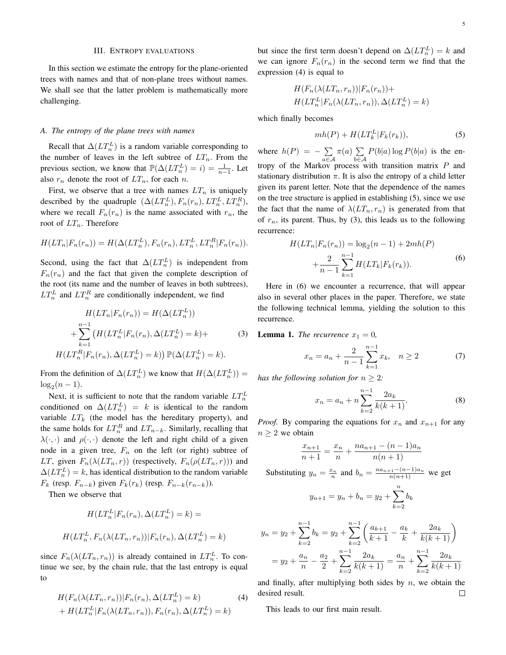#### III. ENTROPY EVALUATIONS

In this section we estimate the entropy for the plane-oriented trees with names and that of non-plane trees without names. We shall see that the latter problem is mathematically more challenging.

# *A. The entropy of the plane trees with names*

Recall that  $\Delta(LT_n^L)$  is a random variable corresponding to the number of leaves in the left subtree of  $LT_n$ . From the previous section, we know that  $\mathbb{P}(\Delta(LT_n^L) = i) = \frac{1}{n-1}$ . Let also  $r_n$  denote the root of  $LT_n$ , for each *n*.

First, we observe that a tree with names  $LT_n$  is uniquely described by the quadruple  $(\Delta(LT_n^L), F_n(r_n), LT_n^L, LT_n^R)$ , where we recall  $F_n(r_n)$  is the name associated with  $r_n$ , the root of *LTn*. Therefore

$$
H(LT_n|F_n(r_n)) = H(\Delta(LT_n^L), F_n(r_n), LT_n^L, LT_n^R|F_n(r_n)).
$$

Second, using the fact that  $\Delta(LT_n^L)$  is independent from  $F_n(r_n)$  and the fact that given the complete description of the root (its name and the number of leaves in both subtrees),  $LT_n^L$  and  $LT_n^R$  are conditionally independent, we find

$$
H(LT_n|F_n(r_n)) = H(\Delta(LT_n^L))
$$
  
+ 
$$
\sum_{k=1}^{n-1} (H(LT_n^L|F_n(r_n), \Delta(LT_n^L) = k) +
$$
  

$$
H(LT_n^R|F_n(r_n), \Delta(LT_n^L) = k)) \mathbb{P}(\Delta(LT_n^L) = k).
$$
 (3)

From the definition of  $\Delta(LT_n^L)$  we know that  $H(\Delta(LT_n^L))$  =  $log_2(n-1)$ .

Next, it is sufficient to note that the random variable  $LT_n^L$ conditioned on  $\Delta(LT_n^L) = k$  is identical to the random variable  $LT_k$  (the model has the hereditary property), and the same holds for  $LT_n^R$  and  $LT_{n-k}$ . Similarly, recalling that  $\lambda(\cdot, \cdot)$  and  $\rho(\cdot, \cdot)$  denote the left and right child of a given node in a given tree, *F<sup>n</sup>* on the left (or right) subtree of *LT*, given  $F_n(\lambda(LT_n, r))$  (respectively,  $F_n(\rho(LT_n, r))$ ) and  $\Delta(LT_n^L) = k$ , has identical distribution to the random variable *F*<sup>*k*</sup> (resp. *F*<sup>*n*</sup><sup>*−k*</sub>) given *F*<sub>*k*</sub>( $r$ <sup>*k*</sup>) (resp. *F*<sub>*n*−*k*</sub>( $r$ <sub>*n*−*k*</sub>)).</sup>

Then we observe that

$$
H(LT_n^L|F_n(r_n), \Delta(LT_n^L) = k) =
$$
  

$$
H(LT_n^L, F_n(\lambda(LT_n, r_n))|F_n(r_n), \Delta(LT_n^L) = k)
$$

since  $F_n(\lambda(LT_n, r_n))$  is already contained in  $LT_n^L$ . To continue we see, by the chain rule, that the last entropy is equal to

$$
H(F_n(\lambda(LT_n, r_n))|F_n(r_n), \Delta(LT_n^L) = k)
$$
  
+ 
$$
H(LT_n^L|F_n(\lambda(LT_n, r_n)), F_n(r_n), \Delta(LT_n^L) = k)
$$
 (4)

but since the first term doesn't depend on  $\Delta(LT_n^L) = k$  and we can ignore  $F_n(r_n)$  in the second term we find that the expression (4) is equal to

$$
H(F_n(\lambda(LT_n, r_n))|F_n(r_n)) +
$$
  

$$
H(LT_n^L|F_n(\lambda(LT_n, r_n)), \Delta(LT_n^L) = k)
$$

which finally becomes

$$
mh(P) + H(LT_k^L|F_k(r_k)), \t\t(5)
$$

where  $h(P) = -\sum$ *a∈A π*(*a*) ∑ *b∈A*  $P(b|a) \log P(b|a)$  is the entropy of the Markov process with transition matrix *P* and stationary distribution  $\pi$ . It is also the entropy of a child letter given its parent letter. Note that the dependence of the names on the tree structure is applied in establishing (5), since we use the fact that the name of  $\lambda(LT_n, r_n)$  is generated from that of  $r_n$ , its parent. Thus, by (3), this leads us to the following recurrence:

$$
H(LT_n|F_n(r_n)) = \log_2(n-1) + 2mh(P)
$$
  
+ 
$$
\frac{2}{n-1} \sum_{k=1}^{n-1} H(LT_k|F_k(r_k)).
$$
 (6)

Here in (6) we encounter a recurrence, that will appear also in several other places in the paper. Therefore, we state the following technical lemma, yielding the solution to this recurrence.

**Lemma 1.** *The recurrence*  $x_1 = 0$ *,* 

$$
x_n = a_n + \frac{2}{n-1} \sum_{k=1}^{n-1} x_k, \quad n \ge 2 \tag{7}
$$

*has the following solution for*  $n > 2$ *:* 

$$
x_n = a_n + n \sum_{k=2}^{n-1} \frac{2a_k}{k(k+1)}.
$$
 (8)

*Proof.* By comparing the equations for  $x_n$  and  $x_{n+1}$  for any  $n \geq 2$  we obtain

$$
\frac{x_{n+1}}{n+1} = \frac{x_n}{n} + \frac{na_{n+1} - (n-1)a_n}{n(n+1)}
$$

Substituting  $y_n = \frac{x_n}{n}$  and  $b_n = \frac{na_{n+1} - (n-1)a_n}{n(n+1)}$  we get

$$
y_{n+1} = y_n + b_n = y_2 + \sum_{k=2}^{n} b_k
$$

$$
y_n = y_2 + \sum_{k=2}^{n-1} b_k = y_2 + \sum_{k=2}^{n-1} \left( \frac{a_{k+1}}{k+1} - \frac{a_k}{k} + \frac{2a_k}{k(k+1)} \right)
$$
  
=  $y_2 + \frac{a_n}{n} - \frac{a_2}{2} + \sum_{k=2}^{n-1} \frac{2a_k}{k(k+1)} = \frac{a_n}{n} + \sum_{k=2}^{n-1} \frac{2a_k}{k(k+1)}$ 

and finally, after multiplying both sides by *n*, we obtain the desired result.  $\Box$ 

This leads to our first main result.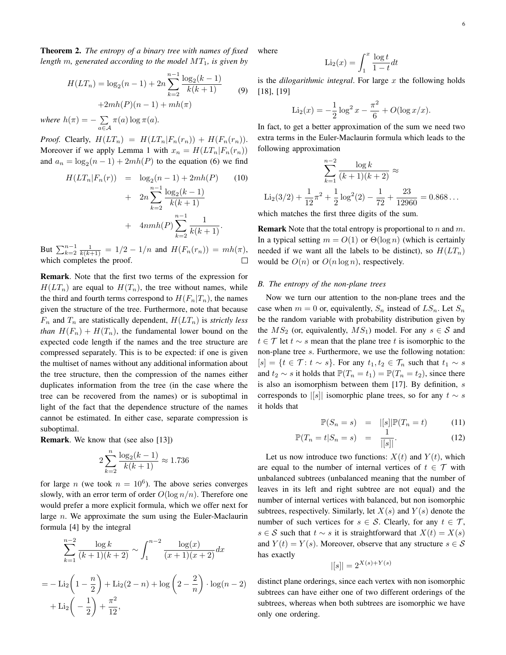Theorem 2. *The entropy of a binary tree with names of fixed length m, generated according to the model MT*1*, is given by*

$$
H(LT_n) = \log_2(n-1) + 2n \sum_{k=2}^{n-1} \frac{\log_2(k-1)}{k(k+1)}
$$
(9)  
+2mh(P)(n-1) + mh(\pi)

*where*  $h(\pi) = -\sum$ *a∈A*  $\pi(a)$  log  $\pi(a)$ *.* 

*Proof.* Clearly,  $H(LT_n) = H(LT_n|F_n(r_n)) + H(F_n(r_n)).$ Moreover if we apply Lemma 1 with  $x_n = H(LT_n|F_n(r_n))$ and  $a_n = \log_2(n-1) + 2mh(P)$  to the equation (6) we find

$$
H(LT_n|F_n(r)) = \log_2(n-1) + 2mh(P)
$$
 (10)  
+ 
$$
2n \sum_{k=2}^{n-1} \frac{\log_2(k-1)}{k(k+1)}
$$
  
+ 
$$
4nmh(P) \sum_{k=2}^{n-1} \frac{1}{k(k+1)}
$$
.

But  $\sum_{k=2}^{n-1} \frac{1}{k(k+1)} = 1/2 - 1/n$  and  $H(F_n(r_n)) = mh(\pi)$ , which completes the proof.

Remark. Note that the first two terms of the expression for  $H(LT_n)$  are equal to  $H(T_n)$ , the tree without names, while the third and fourth terms correspond to  $H(F_n|T_n)$ , the names given the structure of the tree. Furthermore, note that because  $F_n$  and  $T_n$  are statistically dependent,  $H(LT_n)$  is *strictly less than*  $H(F_n) + H(T_n)$ , the fundamental lower bound on the expected code length if the names and the tree structure are compressed separately. This is to be expected: if one is given the multiset of names without any additional information about the tree structure, then the compression of the names either duplicates information from the tree (in the case where the tree can be recovered from the names) or is suboptimal in light of the fact that the dependence structure of the names cannot be estimated. In either case, separate compression is suboptimal.

Remark. We know that (see also [13])

$$
2\sum_{k=2}^{n} \frac{\log_2(k-1)}{k(k+1)} \approx 1.736
$$

for large *n* (we took  $n = 10^6$ ). The above series converges slowly, with an error term of order  $O(\log n/n)$ . Therefore one would prefer a more explicit formula, which we offer next for large *n*. We approximate the sum using the Euler-Maclaurin formula [4] by the integral

$$
\sum_{k=1}^{n-2} \frac{\log k}{(k+1)(k+2)} \sim \int_{1}^{n-2} \frac{\log(x)}{(x+1)(x+2)} dx
$$
  
=  $-\text{Li}_2\left(1 - \frac{n}{2}\right) + \text{Li}_2(2 - n) + \log\left(2 - \frac{2}{n}\right) \cdot \log(n - 2) + \text{Li}_2\left(-\frac{1}{2}\right) + \frac{\pi^2}{12},$ 

where

$$
\text{Li}_2(x) = \int_1^x \frac{\log t}{1 - t} dt
$$

is the *dilogarithmic integral*. For large *x* the following holds [18], [19]

$$
\text{Li}_2(x) = -\frac{1}{2}\log^2 x - \frac{\pi^2}{6} + O(\log x/x).
$$

In fact, to get a better approximation of the sum we need two extra terms in the Euler-Maclaurin formula which leads to the following approximation

$$
\sum_{k=1}^{n-2} \frac{\log k}{(k+1)(k+2)} \approx
$$
  
Li<sub>2</sub>(3/2) +  $\frac{1}{12}\pi^2 + \frac{1}{2}\log^2(2) - \frac{1}{72} + \frac{23}{12960} = 0.868...$ 

which matches the first three digits of the sum.

Remark Note that the total entropy is proportional to *n* and *m*. In a typical setting  $m = O(1)$  or  $\Theta(\log n)$  (which is certainly needed if we want all the labels to be distinct), so  $H(LT_n)$ would be  $O(n)$  or  $O(n \log n)$ , respectively.

#### *B. The entropy of the non-plane trees*

Now we turn our attention to the non-plane trees and the case when  $m = 0$  or, equivalently,  $S_n$  instead of  $LS_n$ . Let  $S_n$ be the random variable with probability distribution given by the  $MS_2$  (or, equivalently,  $MS_1$ ) model. For any  $s \in S$  and *t ∈ T* let *t ∼ s* mean that the plane tree *t* is isomorphic to the non-plane tree *s*. Furthermore, we use the following notation:  $[s] = \{t \in \mathcal{T} : t \sim s\}$ . For any  $t_1, t_2 \in \mathcal{T}_n$  such that  $t_1 \sim s$ and  $t_2 \sim s$  it holds that  $\mathbb{P}(T_n = t_1) = \mathbb{P}(T_n = t_2)$ , since there is also an isomorphism between them [17]. By definition, *s* corresponds to  $\vert [s]\vert$  isomorphic plane trees, so for any  $t \sim s$ it holds that

$$
\mathbb{P}(S_n = s) = |[s]|\mathbb{P}(T_n = t)
$$
\n(11)

$$
\mathbb{P}(T_n = t | S_n = s) = \frac{1}{|[s]|}.
$$
\n(12)

Let us now introduce two functions:  $X(t)$  and  $Y(t)$ , which are equal to the number of internal vertices of  $t \in \mathcal{T}$  with unbalanced subtrees (unbalanced meaning that the number of leaves in its left and right subtree are not equal) and the number of internal vertices with balanced, but non isomorphic subtrees, respectively. Similarly, let  $X(s)$  and  $Y(s)$  denote the number of such vertices for  $s \in S$ . Clearly, for any  $t \in T$ , *s* ∈ S such that  $t \sim s$  it is straightforward that  $X(t) = X(s)$ and  $Y(t) = Y(s)$ . Moreover, observe that any structure  $s \in S$ has exactly

$$
|[s]| = 2^{X(s) + Y(s)}
$$

distinct plane orderings, since each vertex with non isomorphic subtrees can have either one of two different orderings of the subtrees, whereas when both subtrees are isomorphic we have only one ordering.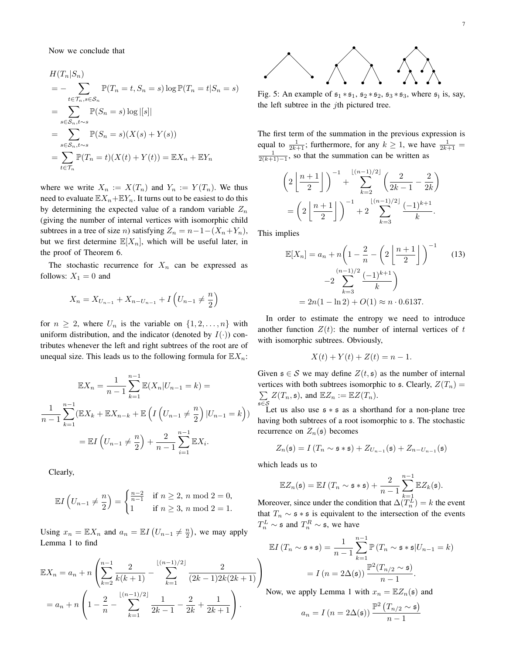Now we conclude that

$$
H(T_n|S_n)
$$
  
=  $-\sum_{t \in \mathcal{T}_n, s \in \mathcal{S}_n} \mathbb{P}(T_n = t, S_n = s) \log \mathbb{P}(T_n = t | S_n = s)$   
=  $\sum_{s \in \mathcal{S}_n, t \sim s} \mathbb{P}(S_n = s) \log |[s]|$   
=  $\sum_{s \in \mathcal{S}_n, t \sim s} \mathbb{P}(S_n = s)(X(s) + Y(s))$   
=  $\sum_{t \in \mathcal{T}_n} \mathbb{P}(T_n = t)(X(t) + Y(t)) = \mathbb{E}X_n + \mathbb{E}Y_n$ 

where we write  $X_n := X(T_n)$  and  $Y_n := Y(T_n)$ . We thus need to evaluate  $\mathbb{E}X_n + \mathbb{E}Y_n$ . It turns out to be easiest to do this by determining the expected value of a random variable  $Z_n$ (giving the number of internal vertices with isomorphic child subtrees in a tree of size *n*) satisfying  $Z_n = n - 1 - (X_n + Y_n)$ , but we first determine  $\mathbb{E}[X_n]$ , which will be useful later, in the proof of Theorem 6.

The stochastic recurrence for  $X_n$  can be expressed as follows:  $X_1 = 0$  and

$$
X_n = X_{U_{n-1}} + X_{n-U_{n-1}} + I\left(U_{n-1} \neq \frac{n}{2}\right)
$$

for  $n \geq 2$ , where  $U_n$  is the variable on  $\{1, 2, \ldots, n\}$  with uniform distribution, and the indicator (denoted by  $I(\cdot)$ ) contributes whenever the left and right subtrees of the root are of unequal size. This leads us to the following formula for  $\mathbb{E} X_n$ :

$$
\mathbb{E}X_n = \frac{1}{n-1} \sum_{k=1}^{n-1} \mathbb{E}(X_n | U_{n-1} = k) =
$$
  

$$
\frac{1}{n-1} \sum_{k=1}^{n-1} (\mathbb{E}X_k + \mathbb{E}X_{n-k} + \mathbb{E}\left(I\left(U_{n-1} \neq \frac{n}{2}\right) | U_{n-1} = k\right))
$$
  

$$
= \mathbb{E}I\left(U_{n-1} \neq \frac{n}{2}\right) + \frac{2}{n-1} \sum_{i=1}^{n-1} \mathbb{E}X_i.
$$

Clearly,

$$
\mathbb{E}I\left(U_{n-1}\neq \frac{n}{2}\right) = \begin{cases} \frac{n-2}{n-1} & \text{if } n \ge 2, n \text{ mod } 2 = 0, \\ 1 & \text{if } n \ge 3, n \text{ mod } 2 = 1. \end{cases}
$$

Using  $x_n = \mathbb{E}X_n$  and  $a_n = \mathbb{E}I\left( U_{n-1} \neq \frac{n}{2} \right)$ , we may apply Lemma 1 to find

$$
\mathbb{E}X_n = a_n + n \left( \sum_{k=2}^{n-1} \frac{2}{k(k+1)} - \sum_{k=1}^{\lfloor (n-1)/2 \rfloor} \frac{2}{(2k-1)2k(2k+1)} \right)
$$
  
=  $a_n + n \left( 1 - \frac{2}{n} - \sum_{k=1}^{\lfloor (n-1)/2 \rfloor} \frac{1}{2k-1} - \frac{2}{2k} + \frac{1}{2k+1} \right).$ 



Fig. 5: An example of  $s_1 * s_1$ ,  $s_2 * s_2$ ,  $s_3 * s_3$ , where  $s_j$  is, say, the left subtree in the *j*th pictured tree.

The first term of the summation in the previous expression is equal to  $\frac{1}{2k+1}$ ; furthermore, for any  $k \ge 1$ , we have  $\frac{1}{2k+1}$  $\frac{1}{2(k+1)-1}$ , so that the summation can be written as

$$
\left(2\left\lfloor\frac{n+1}{2}\right\rfloor\right)^{-1} + \sum_{k=2}^{\lfloor (n-1)/2 \rfloor} \left(\frac{2}{2k-1} - \frac{2}{2k}\right)
$$

$$
= \left(2\left\lfloor\frac{n+1}{2}\right\rfloor\right)^{-1} + 2\sum_{k=3}^{\lfloor (n-1)/2 \rfloor} \frac{(-1)^{k+1}}{k}.
$$

This implies

$$
\mathbb{E}[X_n] = a_n + n \left( 1 - \frac{2}{n} - \left( 2 \left\lfloor \frac{n+1}{2} \right\rfloor \right)^{-1} \right)
$$
  

$$
-2 \sum_{k=3}^{(n-1)/2} \frac{(-1)^{k+1}}{k} \right)
$$
  

$$
= 2n(1 - \ln 2) + O(1) \approx n \cdot 0.6137.
$$
 (13)

In order to estimate the entropy we need to introduce another function  $Z(t)$ : the number of internal vertices of *t* with isomorphic subtrees. Obviously,

$$
X(t) + Y(t) + Z(t) = n - 1.
$$

Given  $\mathfrak{s} \in \mathcal{S}$  we may define  $Z(t, \mathfrak{s})$  as the number of internal vertices with both subtrees isomorphic to  $\mathfrak{s}$ . Clearly,  $Z(T_n)$  = ∑  $\sum_{\mathfrak{s}\in\mathcal{S}} Z(T_n, \mathfrak{s})$ , and  $\mathbb{E}Z_n := \mathbb{E}Z(T_n)$ .

Let us also use s *∗* s as a shorthand for a non-plane tree having both subtrees of a root isomorphic to  $\epsilon$ . The stochastic recurrence on  $Z_n(\mathfrak{s})$  becomes

$$
Z_n(\mathfrak{s}) = I(T_n \sim \mathfrak{s} * \mathfrak{s}) + Z_{U_{n-1}}(\mathfrak{s}) + Z_{n-U_{n-1}}(\mathfrak{s})
$$

which leads us to

 $\setminus$  $\overline{1}$ 

$$
\mathbb{E}Z_n(\mathfrak{s}) = \mathbb{E}I(T_n \sim \mathfrak{s} * \mathfrak{s}) + \frac{2}{n-1}\sum_{k=1}^{n-1} \mathbb{E}Z_k(\mathfrak{s}).
$$

Moreover, since under the condition that  $\Delta(T_n^L) = k$  the event that  $T_n \sim$  s \* s is equivalent to the intersection of the events  $T_n^L \sim \mathfrak{s}$  and  $T_n^R \sim \mathfrak{s}$ , we have

$$
\mathbb{E}I(T_n \sim \mathfrak{s} * \mathfrak{s}) = \frac{1}{n-1} \sum_{k=1}^{n-1} \mathbb{P}(T_n \sim \mathfrak{s} * \mathfrak{s} | U_{n-1} = k)
$$

$$
= I(n = 2\Delta(\mathfrak{s})) \frac{\mathbb{P}^2(T_{n/2} \sim \mathfrak{s})}{n-1}.
$$

Now, we apply Lemma 1 with  $x_n = \mathbb{E}Z_n(\mathfrak{s})$  and

$$
a_n = I\left(n = 2\Delta(\mathfrak{s})\right) \frac{\mathbb{P}^2\left(T_{n/2} \sim \mathfrak{s}\right)}{n-1}
$$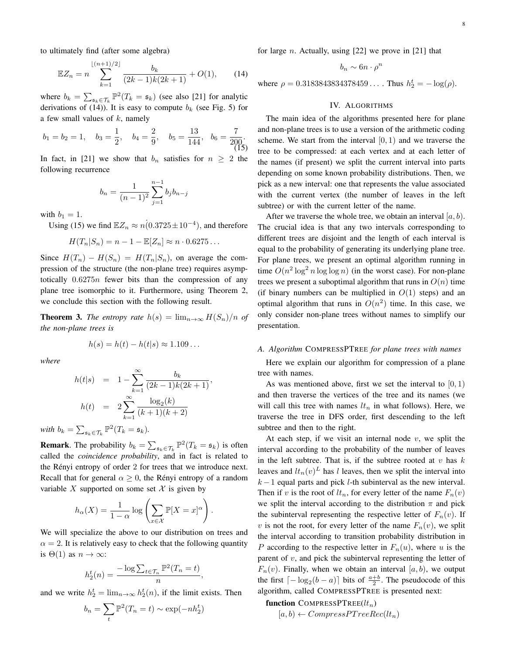to ultimately find (after some algebra)

$$
\mathbb{E}Z_n = n \sum_{k=1}^{\lfloor (n+1)/2 \rfloor} \frac{b_k}{(2k-1)k(2k+1)} + O(1), \qquad (14)
$$

where  $b_k = \sum_{\mathfrak{s}_k \in \mathcal{T}_k} \mathbb{P}^2(T_k = \mathfrak{s}_k)$  (see also [21] for analytic derivations of (14)). It is easy to compute  $b_k$  (see Fig. 5) for a few small values of *k*, namely

$$
b_1 = b_2 = 1
$$
,  $b_3 = \frac{1}{2}$ ,  $b_4 = \frac{2}{9}$ ,  $b_5 = \frac{13}{144}$ ,  $b_6 = \frac{7}{200}$ . (15)

In fact, in [21] we show that  $b_n$  satisfies for  $n \geq 2$  the following recurrence

$$
b_n = \frac{1}{(n-1)^2} \sum_{j=1}^{n-1} b_j b_{n-j}
$$

with  $b_1 = 1$ .

Using (15) we find  $\mathbb{E}Z_n \approx n(0.3725 \pm 10^{-4})$ , and therefore

$$
H(T_n|S_n) = n - 1 - \mathbb{E}[Z_n] \approx n \cdot 0.6275 \dots
$$

Since  $H(T_n) - H(S_n) = H(T_n|S_n)$ , on average the compression of the structure (the non-plane tree) requires asymptotically 0*.*6275*n* fewer bits than the compression of any plane tree isomorphic to it. Furthermore, using Theorem 2, we conclude this section with the following result.

**Theorem 3.** *The entropy rate*  $h(s) = \lim_{n \to \infty} H(S_n)/n$  *of the non-plane trees is*

$$
h(s) = h(t) - h(t|s) \approx 1.109...
$$

*where*

$$
h(t|s) = 1 - \sum_{k=1}^{\infty} \frac{b_k}{(2k-1)k(2k+1)},
$$
  

$$
h(t) = 2 \sum_{k=1}^{\infty} \frac{\log_2(k)}{(k+1)(k+2)}
$$

*with*  $b_k = \sum_{\mathfrak{s}_k \in \mathcal{T}_k} \mathbb{P}^2(T_k = \mathfrak{s}_k)$ .

**Remark**. The probability  $b_k = \sum_{\mathfrak{s}_k \in \mathcal{T}_k} \mathbb{P}^2(T_k = \mathfrak{s}_k)$  is often called the *coincidence probability*, and in fact is related to the Rényi entropy of order 2 for trees that we introduce next. Recall that for general  $\alpha \geq 0$ , the Rényi entropy of a random variable *X* supported on some set  $X$  is given by

$$
h_{\alpha}(X) = \frac{1}{1-\alpha} \log \left( \sum_{x \in \mathcal{X}} \mathbb{P}[X=x]^{\alpha} \right)
$$

*.*

*,*

We will specialize the above to our distribution on trees and  $\alpha = 2$ . It is relatively easy to check that the following quantity is  $\Theta(1)$  as  $n \to \infty$ :

$$
h_2^t(n) = \frac{-\log \sum_{t \in \mathcal{T}_n} \mathbb{P}^2(T_n = t)}{n}
$$

and we write  $h_2^t = \lim_{n \to \infty} h_2^t(n)$ , if the limit exists. Then

$$
b_n = \sum_t \mathbb{P}^2(T_n = t) \sim \exp(-nh_2^t)
$$

for large *n*. Actually, using [22] we prove in [21] that

$$
b_n \sim 6n \cdot \rho^n
$$

where  $\rho = 0.3183843834378459...$  Thus  $h_2^t = -\log(\rho)$ .

# IV. ALGORITHMS

The main idea of the algorithms presented here for plane and non-plane trees is to use a version of the arithmetic coding scheme. We start from the interval  $[0, 1)$  and we traverse the tree to be compressed: at each vertex and at each letter of the names (if present) we split the current interval into parts depending on some known probability distributions. Then, we pick as a new interval: one that represents the value associated with the current vertex (the number of leaves in the left subtree) or with the current letter of the name.

After we traverse the whole tree, we obtain an interval [*a, b*). The crucial idea is that any two intervals corresponding to different trees are disjoint and the length of each interval is equal to the probability of generating its underlying plane tree. For plane trees, we present an optimal algorithm running in time  $O(n^2 \log^2 n \log \log n)$  (in the worst case). For non-plane trees we present a suboptimal algorithm that runs in  $O(n)$  time (if binary numbers can be multiplied in  $O(1)$  steps) and an optimal algorithm that runs in  $O(n^2)$  time. In this case, we only consider non-plane trees without names to simplify our presentation.

#### *A. Algorithm* COMPRESSPTREE *for plane trees with names*

Here we explain our algorithm for compression of a plane tree with names.

As was mentioned above, first we set the interval to [0*,* 1) and then traverse the vertices of the tree and its names (we will call this tree with names  $lt<sub>n</sub>$  in what follows). Here, we traverse the tree in DFS order, first descending to the left subtree and then to the right.

At each step, if we visit an internal node *v*, we split the interval according to the probability of the number of leaves in the left subtree. That is, if the subtree rooted at *v* has *k* leaves and  $lt_n(v)^L$  has *l* leaves, then we split the interval into *k* − 1 equal parts and pick *l*-th subinterval as the new interval. Then if *v* is the root of  $lt_n$ , for every letter of the name  $F_n(v)$ we split the interval according to the distribution  $\pi$  and pick the subinterval representing the respective letter of  $F_n(v)$ . If *v* is not the root, for every letter of the name  $F_n(v)$ , we split the interval according to transition probability distribution in *P* according to the respective letter in  $F_n(u)$ , where *u* is the parent of *v*, and pick the subinterval representing the letter of  $F_n(v)$ . Finally, when we obtain an interval [ $a, b$ ], we output the first  $\lceil -\log_2(b-a) \rceil$  bits of  $\frac{a+b}{2}$ . The pseudocode of this algorithm, called COMPRESSPTREE is presented next:

function COMPRESSPTREE(*ltn*)

 $[a, b) \leftarrow CompressPT treeRec(lt_n)$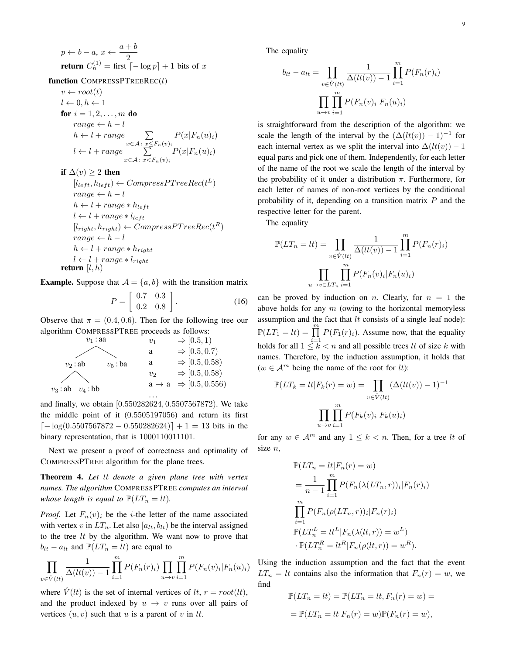$$
p \leftarrow b - a, x \leftarrow \frac{a + b}{2}
$$
  
return  $C_n^{(1)} =$  first  $\lceil -\log p \rceil + 1$  bits of x

function COMPRESSPTREEREC(*t*)

 $v \leftarrow root(t)$  $l \leftarrow 0, h \leftarrow 1$ **for**  $i = 1, 2, ..., m$  **do**  $range \leftarrow h - l$  $h \leftarrow l + range$  ∑ *x∈A*: *x≤Fn*(*v*)*<sup>i</sup>*  $P(x|F_n(u)_i)$  $l \leftarrow l + range \qquad \sum$ *x∈A*: *x<Fn*(*v*)*<sup>i</sup>*  $P(x|F_n(u)_i)$ 

if  $\Delta(v) > 2$  then

 $[l_{left}, h_{left}) \leftarrow CompressPT treeRec(t^L)$  $range \leftarrow h - l$  $h \leftarrow l + range * h_{left}$  $l \leftarrow l + range * l_{left}$  $[l_{right}, h_{right}) \leftarrow CompressPT reeRec(t^R)$  $range \leftarrow h - l$  $h \leftarrow l + range * h_{right}$  $l \leftarrow l + range * l_{right}$ return [*l, h*)

**Example.** Suppose that  $A = \{a, b\}$  with the transition matrix

$$
P = \left[ \begin{array}{cc} 0.7 & 0.3 \\ 0.2 & 0.8 \end{array} \right].
$$
 (16)

Observe that  $\pi = (0.4, 0.6)$ . Then for the following tree our algorithm COMPRESSPTREE proceeds as follows:

$$
v_1 : \text{aa} \qquad v_1 \Rightarrow [0.5, 1)
$$
\n
$$
v_2 : \text{ab} \qquad v_5 : \text{ba} \qquad \text{a} \qquad \Rightarrow [0.5, 0.7)
$$
\n
$$
v_2 : \text{ab} \qquad v_5 : \text{ba} \qquad \text{a} \qquad \Rightarrow [0.5, 0.58)
$$
\n
$$
v_2 \qquad \Rightarrow [0.5, 0.58)
$$
\n
$$
v_3 : \text{ab} \qquad v_4 : \text{bb} \qquad \text{a} \rightarrow \text{a} \qquad \Rightarrow [0.5, 0.556)
$$

and finally, we obtain [0*.*550282624*,* 0*.*5507567872). We take the middle point of it (0*.*5505197056) and return its first *⌈−* log(0*.*5507567872 *−* 0*.*550282624)*⌉* + 1 = 13 bits in the binary representation, that is 1000110011101.

Next we present a proof of correctness and optimality of COMPRESSPTREE algorithm for the plane trees.

Theorem 4. *Let lt denote a given plane tree with vertex names. The algorithm* COMPRESSPTREE *computes an interval whose length is equal to*  $\mathbb{P}(LT_n = lt)$ *.* 

*Proof.* Let  $F_n(v)_i$  be the *i*-the letter of the name associated with vertex *v* in  $LT_n$ . Let also  $[a_{lt}, b_{lt})$  be the interval assigned to the tree *lt* by the algorithm. We want now to prove that  $b_{lt} - a_{lt}$  and  $\mathbb{P}(LT_n = lt)$  are equal to

$$
\prod_{v \in \mathring{V}(lt)} \frac{1}{\Delta(lt(v)) - 1} \prod_{i=1}^{m} P(F_n(r_i)) \prod_{u \to v} \prod_{i=1}^{m} P(F_n(v_i)|F_n(u)_i)
$$

where  $\ddot{V}(lt)$  is the set of internal vertices of *lt*,  $r = root(lt)$ , and the product indexed by  $u \rightarrow v$  runs over all pairs of vertices  $(u, v)$  such that  $u$  is a parent of  $v$  in  $lt$ .

The equality

$$
b_{lt} - a_{lt} = \prod_{v \in \hat{V}(lt)} \frac{1}{\Delta(lt(v)) - 1} \prod_{i=1}^{m} P(F_n(r)_i)
$$

$$
\prod_{u \to v} \prod_{i=1}^{m} P(F_n(v)_i | F_n(u)_i)
$$

is straightforward from the description of the algorithm: we scale the length of the interval by the  $(\Delta(lt(v)) - 1)^{-1}$  for each internal vertex as we split the interval into  $\Delta(lt(v)) - 1$ equal parts and pick one of them. Independently, for each letter of the name of the root we scale the length of the interval by the probability of it under a distribution *π*. Furthermore, for each letter of names of non-root vertices by the conditional probability of it, depending on a transition matrix *P* and the respective letter for the parent.

The equality

$$
\mathbb{P}(LT_n = lt) = \prod_{v \in \hat{V}(lt)} \frac{1}{\Delta(lt(v)) - 1} \prod_{i=1}^m P(F_n(r)_i)
$$

$$
\prod_{u \to v \in LT_n} \prod_{i=1}^m P(F_n(v)_i | F_n(u)_i)
$$

can be proved by induction on *n*. Clearly, for  $n = 1$  the above holds for any *m* (owing to the horizontal memoryless assumption and the fact that *lt* consists of a single leaf node):  $\mathbb{P}(LT_1 = lt) = \prod_{i=1}^{m} P(F_1(r_i))$ . Assume now, that the equality holds for all  $1 \leq k < n$  and all possible trees *lt* of size *k* with names. Therefore, by the induction assumption, it holds that  $(w ∈ A<sup>m</sup>$  being the name of the root for *lt*):

$$
\mathbb{P}(LT_k = lt | F_k(r) = w) = \prod_{v \in \mathring{V}(lt)} (\Delta(lt(v)) - 1)^{-1}
$$

$$
\prod_{u \to v} \prod_{i=1}^m P(F_k(v)_i | F_k(u)_i)
$$

for any  $w \in A^m$  and any  $1 \leq k < n$ . Then, for a tree *lt* of size *n*,

$$
\mathbb{P}(LT_n = lt|F_n(r) = w)
$$
\n
$$
= \frac{1}{n-1} \prod_{i=1}^m P(F_n(\lambda(LT_n, r))_i|F_n(r)_i)
$$
\n
$$
\prod_{i=1}^m P(F_n(\rho(LT_n, r))_i|F_n(r)_i)
$$
\n
$$
\mathbb{P}(LT_n^L = lt^L|F_n(\lambda(lt, r)) = w^L)
$$
\n
$$
\cdot \mathbb{P}(LT_n^R = lt^R|F_n(\rho(lt, r)) = w^R).
$$

Using the induction assumption and the fact that the event  $LT_n = lt$  contains also the information that  $F_n(r) = w$ , we find

$$
\mathbb{P}(LT_n = lt) = \mathbb{P}(LT_n = lt, F_n(r) = w) =
$$

$$
= \mathbb{P}(LT_n = lt|F_n(r) = w)\mathbb{P}(F_n(r) = w),
$$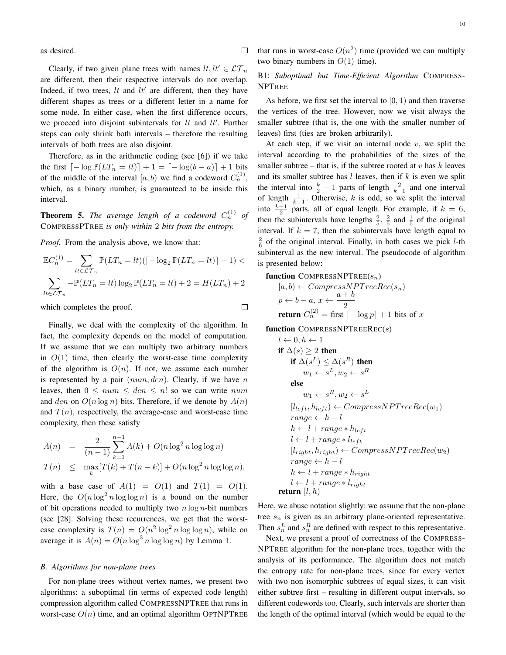as desired.

Clearly, if two given plane trees with names  $lt, lt' \in \mathcal{LT}_n$ are different, then their respective intervals do not overlap. Indeed, if two trees,  $lt$  and  $lt'$  are different, then they have different shapes as trees or a different letter in a name for some node. In either case, when the first difference occurs, we proceed into disjoint subintervals for *lt* and *lt′* . Further steps can only shrink both intervals – therefore the resulting intervals of both trees are also disjoint.

 $\Box$ 

 $\Box$ 

Therefore, as in the arithmetic coding (see [6]) if we take the first  $[−\log P(LT_n = lt)] + 1 = [−\log(b − a)] + 1$  bits of the middle of the interval  $[a, b)$  we find a codeword  $C_n^{(1)}$ , which, as a binary number, is guaranteed to be inside this interval.

**Theorem 5.** The average length of a codeword  $C_n^{(1)}$  of COMPRESSPTREE *is only within* 2 *bits from the entropy.*

*Proof.* From the analysis above, we know that:

$$
\mathbb{E}C_n^{(1)} = \sum_{lt \in \mathcal{LT}_n} \mathbb{P}(LT_n = lt)([-\log_2 \mathbb{P}(LT_n = lt)] + 1) <
$$
  

$$
\sum_{lt \in \mathcal{LT}_n} -\mathbb{P}(LT_n = lt) \log_2 \mathbb{P}(LT_n = lt) + 2 = H(LT_n) + 2
$$

which completes the proof.

Finally, we deal with the complexity of the algorithm. In fact, the complexity depends on the model of computation. If we assume that we can multiply two arbitrary numbers in  $O(1)$  time, then clearly the worst-case time complexity of the algorithm is  $O(n)$ . If not, we assume each number is represented by a pair (*num, den*). Clearly, if we have *n* leaves, then  $0 \leq num \leq den \leq n!$  so we can write *num* and *den* on  $O(n \log n)$  bits. Therefore, if we denote by  $A(n)$ and  $T(n)$ , respectively, the average-case and worst-case time complexity, then these satisfy

$$
A(n) = \frac{2}{(n-1)} \sum_{k=1}^{n-1} A(k) + O(n \log^2 n \log \log n)
$$
  

$$
T(n) \le \max_{k} [T(k) + T(n-k)] + O(n \log^2 n \log \log n),
$$

with a base case of  $A(1) = O(1)$  and  $T(1) = O(1)$ . Here, the  $O(n \log^2 n \log \log n)$  is a bound on the number of bit operations needed to multiply two *n* log *n*-bit numbers (see [28]. Solving these recurrences, we get that the worstcase complexity is  $T(n) = O(n^2 \log^2 n \log \log n)$ , while on average it is  $A(n) = O(n \log^3 n \log \log n)$  by Lemma 1.

# *B. Algorithms for non-plane trees*

For non-plane trees without vertex names, we present two algorithms: a suboptimal (in terms of expected code length) compression algorithm called COMPRESSNPTREE that runs in worst-case  $O(n)$  time, and an optimal algorithm OPTNPTREE

that runs in worst-case  $O(n^2)$  time (provided we can multiply two binary numbers in  $O(1)$  time).

# B1: *Suboptimal but Time-Efficient Algorithm* COMPRESS-NPTREE

As before, we first set the interval to [0*,* 1) and then traverse the vertices of the tree. However, now we visit always the smaller subtree (that is, the one with the smaller number of leaves) first (ties are broken arbitrarily).

At each step, if we visit an internal node *v*, we split the interval according to the probabilities of the sizes of the smaller subtree – that is, if the subtree rooted at  $v$  has  $k$  leaves and its smaller subtree has *l* leaves, then if *k* is even we split the interval into  $\frac{k}{2} - 1$  parts of length  $\frac{2}{k-1}$  and one interval of length  $\frac{1}{k-1}$ . Otherwise, *k* is odd, so we split the interval into  $\frac{k-1}{2}$  parts, all of equal length. For example, if  $k = 6$ , then the subintervals have lengths  $\frac{2}{5}$ ,  $\frac{2}{5}$  and  $\frac{1}{5}$  of the original interval. If  $k = 7$ , then the subintervals have length equal to  $\frac{2}{6}$  of the original interval. Finally, in both cases we pick *l*-th subinterval as the new interval. The pseudocode of algorithm is presented below:

#### function COMPRESSNPTREE(*sn*)

$$
[a, b) \leftarrow CompressNPTreeRec(s_n)
$$
  

$$
p \leftarrow b - a, x \leftarrow \frac{a+b}{2}
$$
  
return 
$$
C_n^{(2)} = \text{first } [-\log p] + 1 \text{ bits of } x
$$

function COMPRESSNPTREEREC(*s*)

$$
l \leftarrow 0, h \leftarrow 1
$$
\n
$$
\text{if } \Delta(s) \ge 2 \text{ then}
$$
\n
$$
\text{if } \Delta(s^L) \le \Delta(s^R) \text{ then}
$$
\n
$$
w_1 \leftarrow s^L, w_2 \leftarrow s^R
$$
\n
$$
\text{else}
$$
\n
$$
w_1 \leftarrow s^R, w_2 \leftarrow s^L
$$
\n
$$
[l_{left}, h_{left} \leftarrow CompressNPTreeRec(w_1)
$$
\n
$$
range \leftarrow h - l
$$
\n
$$
h \leftarrow l + range * h_{left}
$$
\n
$$
l \leftarrow l + range * l_{left}
$$
\n
$$
[l_{right}, h_{right} \leftarrow CompressNPTreeRec(w_2)
$$
\n
$$
range \leftarrow h - l
$$
\n
$$
h \leftarrow l + range * h_{right}
$$
\n
$$
l \leftarrow l + range * h_{right}
$$
\n
$$
l \leftarrow l + range * l_{right}
$$
\n
$$
l \leftarrow l + range * l_{right}
$$
\n
$$
\text{return } [l, h)
$$

Here, we abuse notation slightly: we assume that the non-plane tree *s<sup>n</sup>* is given as an arbitrary plane-oriented representative. Then  $s_n^L$  and  $s_n^R$  are defined with respect to this representative.

Next, we present a proof of correctness of the COMPRESS-NPTREE algorithm for the non-plane trees, together with the analysis of its performance. The algorithm does not match the entropy rate for non-plane trees, since for every vertex with two non isomorphic subtrees of equal sizes, it can visit either subtree first – resulting in different output intervals, so different codewords too. Clearly, such intervals are shorter than the length of the optimal interval (which would be equal to the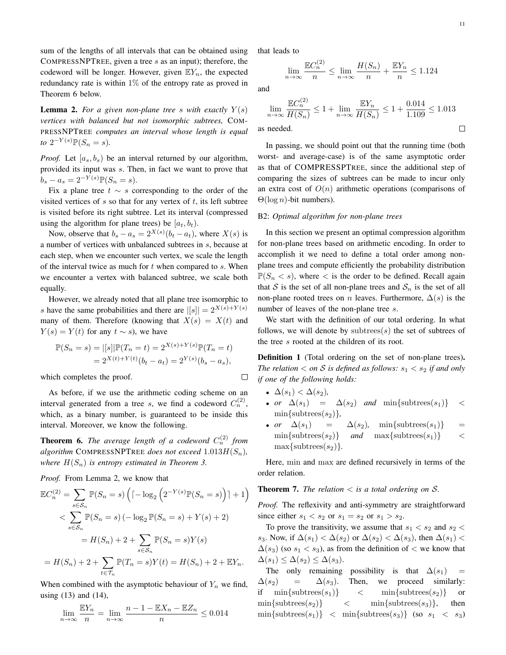sum of the lengths of all intervals that can be obtained using COMPRESSNPTREE, given a tree *s* as an input); therefore, the codeword will be longer. However, given  $EY_n$ , the expected redundancy rate is within  $1\%$  of the entropy rate as proved in Theorem 6 below.

**Lemma 2.** For a given non-plane tree *s* with exactly  $Y(s)$ *vertices with balanced but not isomorphic subtrees,* COM-PRESSNPTREE *computes an interval whose length is equal*  $to 2^{-Y(s)} \mathbb{P}(S_n = s).$ 

*Proof.* Let  $[a_s, b_s]$  be an interval returned by our algorithm, provided its input was *s*. Then, in fact we want to prove that  $b_s - a_s = 2^{-Y(s)} \mathbb{P}(S_n = s).$ 

Fix a plane tree *t ∼ s* corresponding to the order of the visited vertices of *s* so that for any vertex of *t*, its left subtree is visited before its right subtree. Let its interval (compressed using the algorithm for plane trees) be  $[a_t, b_t]$ .

Now, observe that  $b_s - a_s = 2^{X(s)}(b_t - a_t)$ , where  $X(s)$  is a number of vertices with unbalanced subtrees in *s*, because at each step, when we encounter such vertex, we scale the length of the interval twice as much for *t* when compared to *s*. When we encounter a vertex with balanced subtree, we scale both equally.

However, we already noted that all plane tree isomorphic to *s* have the same probabilities and there are  $||s|| = 2^{X(s) + Y(s)}$ many of them. Therefore (knowing that  $X(s) = X(t)$  and *Y*(*s*) = *Y*(*t*) for any  $t \sim s$ , we have

$$
\mathbb{P}(S_n = s) = |[s]|\mathbb{P}(T_n = t) = 2^{X(s) + Y(s)}\mathbb{P}(T_n = t)
$$
  
=  $2^{X(t) + Y(t)}(b_t - a_t) = 2^{Y(s)}(b_s - a_s),$ 

which completes the proof.

As before, if we use the arithmetic coding scheme on an interval generated from a tree *s*, we find a codeword  $C_n^{(2)}$ , which, as a binary number, is guaranteed to be inside this interval. Moreover, we know the following.

**Theorem 6.** The average length of a codeword  $C_n^{(2)}$  from *algorithm* COMPRESSNPTREE *does not exceed*  $1.013H(S_n)$ *, where H*(*Sn*) *is entropy estimated in Theorem 3.*

*Proof.* From Lemma 2, we know that

$$
\mathbb{E}C_n^{(2)} = \sum_{s \in S_n} \mathbb{P}(S_n = s) \left( \left[ -\log_2 \left( 2^{-Y(s)} \mathbb{P}(S_n = s) \right) \right] + 1 \right)
$$
  

$$
< \sum_{s \in S_n} \mathbb{P}(S_n = s) \left( -\log_2 \mathbb{P}(S_n = s) + Y(s) + 2 \right)
$$
  

$$
= H(S_n) + 2 + \sum_{s \in S_n} \mathbb{P}(S_n = s)Y(s)
$$
  

$$
= H(S_n) + 2 + \sum_{t \in \mathcal{T}_n} \mathbb{P}(T_n = s)Y(t) = H(S_n) + 2 + \mathbb{E}Y_n.
$$

When combined with the asymptotic behaviour of  $Y_n$  we find, using (13) and (14),

$$
\lim_{n \to \infty} \frac{\mathbb{E}Y_n}{n} = \lim_{n \to \infty} \frac{n - 1 - \mathbb{E}X_n - \mathbb{E}Z_n}{n} \le 0.014
$$

that leads to

 $\lim_{n\to\infty} \frac{\mathbb{E}C_n^{(2)}}{n}$ 

and

$$
\lim_{n \to \infty} \frac{\mathbb{E}C_n^{(2)}}{H(S_n)} \le 1 + \lim_{n \to \infty} \frac{\mathbb{E}Y_n}{H(S_n)} \le 1 + \frac{0.014}{1.109} \le 1.013
$$
  
s needed.

 $\frac{(S_n)}{n} + \frac{\mathbb{E}Y_n}{n}$ 

 $\frac{n}{n} \leq 1.124$ 

 $\frac{\sum_{n}^{(2)}(S_n)}{n} \leq \lim_{n \to \infty} \frac{H(S_n)}{n}$ 

as needed.

In passing, we should point out that the running time (both worst- and average-case) is of the same asymptotic order as that of COMPRESSPTREE, since the additional step of comparing the sizes of subtrees can be made to incur only an extra cost of  $O(n)$  arithmetic operations (comparisons of Θ(log *n*)-bit numbers).

#### B2: *Optimal algorithm for non-plane trees*

In this section we present an optimal compression algorithm for non-plane trees based on arithmetic encoding. In order to accomplish it we need to define a total order among nonplane trees and compute efficiently the probability distribution  $\mathbb{P}(S_n < s)$ , where  $\lt$  is the order to be defined. Recall again that *S* is the set of all non-plane trees and  $S_n$  is the set of all non-plane rooted trees on *n* leaves. Furthermore,  $\Delta(s)$  is the number of leaves of the non-plane tree *s*.

We start with the definition of our total ordering. In what follows, we will denote by subtrees $(s)$  the set of subtrees of the tree *s* rooted at the children of its root.

**Definition 1** (Total ordering on the set of non-plane trees). *The relation*  $\lt$  *on S is defined as follows:*  $s_1 \lt s_2$  *if and only if one of the following holds:*

•  $\Delta(s_1) < \Delta(s_2)$ ,

 $\Box$ 

- *or*  $\Delta(s_1)$  =  $\Delta(s_2)$  *and* min{subtrees( $s_1$ )} <  $\min\{\text{subtrees}(s_2)\},\}$
- *or*  $\Delta(s_1)$  =  $\Delta(s_2)$ , min{subtrees( $s_1$ )} =  $\min\{\text{subtrees}(s_2)\}$  *and*  $\max\{\text{subtrees}(s_1)\}$  <  $max\{subtrees(s_2)\}.$

Here, min and max are defined recursively in terms of the order relation.

**Theorem 7.** *The relation*  $\lt$  *is a total ordering on*  $\mathcal{S}$ *.* 

*Proof.* The reflexivity and anti-symmetry are straightforward since either  $s_1 < s_2$  or  $s_1 = s_2$  or  $s_1 > s_2$ .

To prove the transitivity, we assume that  $s_1 < s_2$  and  $s_2 <$ *s*<sub>3</sub>. Now, if  $\Delta(s_1) < \Delta(s_2)$  or  $\Delta(s_2) < \Delta(s_3)$ , then  $\Delta(s_1)$  <  $\Delta(s_3)$  (so  $s_1 < s_3$ ), as from the definition of  $\lt$  we know that  $\Delta(s_1) \leq \Delta(s_2) \leq \Delta(s_3).$ 

The only remaining possibility is that  $\Delta(s_1)$  =  $\Delta(s_2)$  =  $\Delta(s_3)$ . Then, we proceed similarly: if  $\min\{\text{subtrees}(s_1)\}\right\}$   $\leq \min\{\text{subtrees}(s_2)\}\$  or  $\min\{\text{subtrees}(s_2)\}\qquad \leq \qquad \min\{\text{subtrees}(s_3)\}\qquad \text{then}$  $\min\{\text{subtrees}(s_1)\}\leq\min\{\text{subtrees}(s_3)\}\$  (so  $s_1 \leq s_3$ )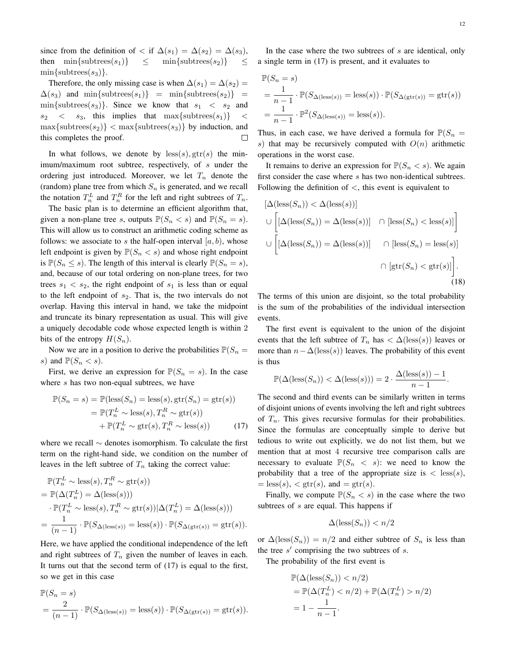since from the definition of  $\langle$  if  $\Delta(s_1) = \Delta(s_2) = \Delta(s_3)$ , then  $\min\{\text{subtrees}(s_1)\} \leq \min\{\text{subtrees}(s_2)\} \leq$  $min\{subtrees(s_3)\}.$ 

Therefore, the only missing case is when  $\Delta(s_1) = \Delta(s_2)$  =  $\Delta(s_3)$  and min{subtrees( $s_1$ )} = min{subtrees( $s_2$ )} =  $\min\{\text{subtrees}(s_3)\}\$ . Since we know that  $s_1 < s_2$  and  $s_2 \leq s_3$ , this implies that max{subtrees( $s_1$ )} <  $\max{\{\text{subtrees}(s_2)\}}$   $< \max{\{\text{subtrees}(s_3)\}}$  by induction, and this completes the proof.  $\Box$ 

In what follows, we denote by  $\text{less}(s)$ ,  $\text{gtr}(s)$  the minimum/maximum root subtree, respectively, of *s* under the ordering just introduced. Moreover, we let *T<sup>n</sup>* denote the (random) plane tree from which *S<sup>n</sup>* is generated, and we recall the notation  $T_n^L$  and  $T_n^R$  for the left and right subtrees of  $T_n$ .

The basic plan is to determine an efficient algorithm that, given a non-plane tree *s*, outputs  $\mathbb{P}(S_n < s)$  and  $\mathbb{P}(S_n = s)$ . This will allow us to construct an arithmetic coding scheme as follows: we associate to  $s$  the half-open interval  $[a, b)$ , whose left endpoint is given by  $P(S_n < s)$  and whose right endpoint is  $\mathbb{P}(S_n \leq s)$ . The length of this interval is clearly  $\mathbb{P}(S_n = s)$ , and, because of our total ordering on non-plane trees, for two trees  $s_1 < s_2$ , the right endpoint of  $s_1$  is less than or equal to the left endpoint of *s*2. That is, the two intervals do not overlap. Having this interval in hand, we take the midpoint and truncate its binary representation as usual. This will give a uniquely decodable code whose expected length is within 2 bits of the entropy  $H(S_n)$ .

Now we are in a position to derive the probabilities  $P(S_n =$ *s*) and  $\mathbb{P}(S_n < s)$ .

First, we derive an expression for  $\mathbb{P}(S_n = s)$ . In the case where *s* has two non-equal subtrees, we have

$$
\mathbb{P}(S_n = s) = \mathbb{P}(\text{less}(S_n) = \text{less}(s), \text{gtr}(S_n) = \text{gtr}(s))
$$

$$
= \mathbb{P}(T_n^L \sim \text{less}(s), T_n^R \sim \text{gtr}(s))
$$

$$
+ \mathbb{P}(T_n^L \sim \text{gtr}(s), T_n^R \sim \text{less}(s)) \tag{17}
$$

where we recall *∼* denotes isomorphism. To calculate the first term on the right-hand side, we condition on the number of leaves in the left subtree of  $T_n$  taking the correct value:

$$
\mathbb{P}(T_n^L \sim \text{less}(s), T_n^R \sim \text{gtr}(s))
$$
  
= 
$$
\mathbb{P}(\Delta(T_n^L) = \Delta(\text{less}(s)))
$$
  

$$
\cdot \mathbb{P}(T_n^L \sim \text{less}(s), T_n^R \sim \text{gtr}(s))|\Delta(T_n^L) = \Delta(\text{less}(s)))
$$
  
= 
$$
\frac{1}{(n-1)} \cdot \mathbb{P}(S_{\Delta(\text{less}(s))} = \text{less}(s)) \cdot \mathbb{P}(S_{\Delta(\text{gtr}(s))} = \text{gtr}(s)).
$$

Here, we have applied the conditional independence of the left and right subtrees of  $T<sub>n</sub>$  given the number of leaves in each. It turns out that the second term of (17) is equal to the first, so we get in this case

$$
\mathbb{P}(S_n = s)
$$
  
=  $\frac{2}{(n-1)} \cdot \mathbb{P}(S_{\Delta(\text{less}(s))} = \text{less}(s)) \cdot \mathbb{P}(S_{\Delta(\text{gtr}(s))} = \text{gtr}(s)).$ 

In the case where the two subtrees of *s* are identical, only a single term in (17) is present, and it evaluates to

$$
\mathbb{P}(S_n = s)
$$
  
=  $\frac{1}{n-1} \cdot \mathbb{P}(S_{\Delta(\text{less}(s))} = \text{less}(s)) \cdot \mathbb{P}(S_{\Delta(\text{str}(s))} = \text{gtr}(s))$   
=  $\frac{1}{n-1} \cdot \mathbb{P}^2(S_{\Delta(\text{less}(s))} = \text{less}(s)).$ 

Thus, in each case, we have derived a formula for  $\mathbb{P}(S_n =$ *s*) that may be recursively computed with  $O(n)$  arithmetic operations in the worst case.

It remains to derive an expression for  $P(S_n < s)$ . We again first consider the case where *s* has two non-identical subtrees. Following the definition of *<*, this event is equivalent to

$$
[\Delta(\text{less}(S_n)) < \Delta(\text{less}(s))]
$$
\n
$$
\cup \left[ [\Delta(\text{less}(S_n)) = \Delta(\text{less}(s))] \cap [\text{less}(S_n) < \text{less}(s)] \right]
$$
\n
$$
\cup \left[ [\Delta(\text{less}(S_n)) = \Delta(\text{less}(s))] \cap [\text{less}(S_n) = \text{less}(s)] \right]
$$
\n
$$
\cap [\text{gtr}(S_n) < \text{gtr}(s)] \right].
$$
\n(18)

The terms of this union are disjoint, so the total probability is the sum of the probabilities of the individual intersection events.

The first event is equivalent to the union of the disjoint events that the left subtree of  $T_n$  has  $\langle \Delta(\text{less}(s)) \rangle$  leaves or more than  $n - \Delta(\text{less}(s))$  leaves. The probability of this event is thus

$$
\mathbb{P}(\Delta(\text{less}(S_n)) < \Delta(\text{less}(s))) = 2 \cdot \frac{\Delta(\text{less}(s)) - 1}{n - 1}.
$$

The second and third events can be similarly written in terms of disjoint unions of events involving the left and right subtrees of  $T_n$ . This gives recursive formulas for their probabilities. Since the formulas are conceptually simple to derive but tedious to write out explicitly, we do not list them, but we mention that at most 4 recursive tree comparison calls are necessary to evaluate  $\mathbb{P}(S_n \leq s)$ : we need to know the probability that a tree of the appropriate size is  $\langle$  less(s),  $=$  less(s),  $\lt$  gtr(s), and  $=$  gtr(s).

Finally, we compute  $\mathbb{P}(S_n < s)$  in the case where the two subtrees of *s* are equal. This happens if

$$
\Delta(\text{less}(S_n)) < n/2
$$

or  $\Delta(\text{less}(S_n)) = n/2$  and either subtree of  $S_n$  is less than the tree *s ′* comprising the two subtrees of *s*.

The probability of the first event is

$$
\mathbb{P}(\Delta(\text{less}(S_n)) < n/2) \\
= \mathbb{P}(\Delta(T_n^L) < n/2) + \mathbb{P}(\Delta(T_n^L) > n/2) \\
= 1 - \frac{1}{n-1}.
$$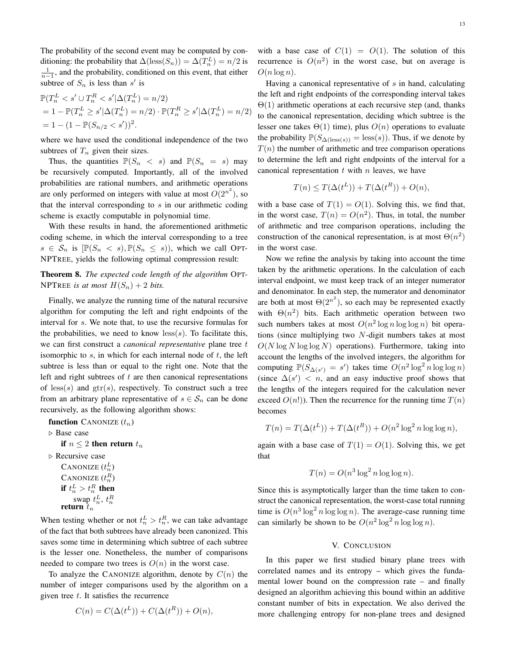The probability of the second event may be computed by conditioning: the probability that  $\Delta(\text{less}(S_n)) = \Delta(T_n^L) = n/2$  is  $\frac{1}{n-1}$ , and the probability, conditioned on this event, that either subtree of  $S_n$  is less than  $s'$  is

$$
\mathbb{P}(T_n^L < s' \cup T_n^R < s' | \Delta(T_n^L) = n/2) \n= 1 - \mathbb{P}(T_n^L \ge s' | \Delta(T_n^L) = n/2) \cdot \mathbb{P}(T_n^R \ge s' | \Delta(T_n^L) = n/2) \n= 1 - (1 - \mathbb{P}(S_{n/2} < s'))^2.
$$

where we have used the conditional independence of the two subtrees of  $T_n$  given their sizes.

Thus, the quantities  $\mathbb{P}(S_n \leq s)$  and  $\mathbb{P}(S_n = s)$  may be recursively computed. Importantly, all of the involved probabilities are rational numbers, and arithmetic operations are only performed on integers with value at most  $O(2^{n^2})$ , so that the interval corresponding to *s* in our arithmetic coding scheme is exactly computable in polynomial time.

With these results in hand, the aforementioned arithmetic coding scheme, in which the interval corresponding to a tree  $s \in S_n$  is  $[\mathbb{P}(S_n \leq s), \mathbb{P}(S_n \leq s))$ , which we call OPT-NPTREE, yields the following optimal compression result:

Theorem 8. *The expected code length of the algorithm* OPT-NPTREE *is at most*  $H(S_n) + 2$  *bits.* 

Finally, we analyze the running time of the natural recursive algorithm for computing the left and right endpoints of the interval for *s*. We note that, to use the recursive formulas for the probabilities, we need to know  $\text{less}(s)$ . To facilitate this, we can first construct a *canonical representative* plane tree *t* isomorphic to *s*, in which for each internal node of *t*, the left subtree is less than or equal to the right one. Note that the left and right subtrees of *t* are then canonical representations of less(*s*) and gtr(*s*), respectively. To construct such a tree from an arbitrary plane representative of  $s \in S_n$  can be done recursively, as the following algorithm shows:

function CANONIZE (*tn*) *▷* Base case if  $n \leq 2$  then return  $t_n$ *▷* Recursive case CANONIZE  $(t_n^L)$ CANONIZE  $(t_n^R)$ if  $t_n^L > t_n^R$  then swap  $t_n^L$ ,  $t_n^R$ <br>**return**  $t_n$ 

When testing whether or not  $t_n^L > t_n^R$ , we can take advantage of the fact that both subtrees have already been canonized. This saves some time in determining which subtree of each subtree is the lesser one. Nonetheless, the number of comparisons needed to compare two trees is  $O(n)$  in the worst case.

To analyze the CANONIZE algorithm, denote by  $C(n)$  the number of integer comparisons used by the algorithm on a given tree *t*. It satisfies the recurrence

$$
C(n) = C(\Delta(t^L)) + C(\Delta(t^R)) + O(n),
$$

with a base case of  $C(1) = O(1)$ . The solution of this recurrence is  $O(n^2)$  in the worst case, but on average is  $O(n \log n)$ .

Having a canonical representative of *s* in hand, calculating the left and right endpoints of the corresponding interval takes Θ(1) arithmetic operations at each recursive step (and, thanks to the canonical representation, deciding which subtree is the lesser one takes  $\Theta(1)$  time), plus  $O(n)$  operations to evaluate the probability  $\mathbb{P}(S_{\Delta(\text{less}(s))} = \text{less}(s))$ . Thus, if we denote by  $T(n)$  the number of arithmetic and tree comparison operations to determine the left and right endpoints of the interval for a canonical representation *t* with *n* leaves, we have

$$
T(n) \le T(\Delta(t^L)) + T(\Delta(t^R)) + O(n),
$$

with a base case of  $T(1) = O(1)$ . Solving this, we find that, in the worst case,  $T(n) = O(n^2)$ . Thus, in total, the number of arithmetic and tree comparison operations, including the construction of the canonical representation, is at most  $\Theta(n^2)$ in the worst case.

Now we refine the analysis by taking into account the time taken by the arithmetic operations. In the calculation of each interval endpoint, we must keep track of an integer numerator and denominator. In each step, the numerator and denominator are both at most  $\Theta(2^{n^2})$ , so each may be represented exactly with  $\Theta(n^2)$  bits. Each arithmetic operation between two such numbers takes at most  $O(n^2 \log n \log \log n)$  bit operations (since multiplying two *N*-digit numbers takes at most  $O(N \log N \log \log N)$  operations). Furthermore, taking into account the lengths of the involved integers, the algorithm for computing  $\mathbb{P}(S_{\Delta(s')} = s')$  takes time  $O(n^2 \log^2 n \log \log n)$ (since  $\Delta(s') < n$ , and an easy inductive proof shows that the lengths of the integers required for the calculation never exceed  $O(n!)$ . Then the recurrence for the running time  $T(n)$ becomes

$$
T(n) = T(\Delta(t^{L})) + T(\Delta(t^{R})) + O(n^{2} \log^{2} n \log \log n),
$$

again with a base case of  $T(1) = O(1)$ . Solving this, we get that

$$
T(n) = O(n^3 \log^2 n \log \log n).
$$

Since this is asymptotically larger than the time taken to construct the canonical representation, the worst-case total running time is  $O(n^3 \log^2 n \log \log n)$ . The average-case running time can similarly be shown to be  $O(n^2 \log^2 n \log \log n)$ .

#### V. CONCLUSION

In this paper we first studied binary plane trees with correlated names and its entropy – which gives the fundamental lower bound on the compression rate – and finally designed an algorithm achieving this bound within an additive constant number of bits in expectation. We also derived the more challenging entropy for non-plane trees and designed